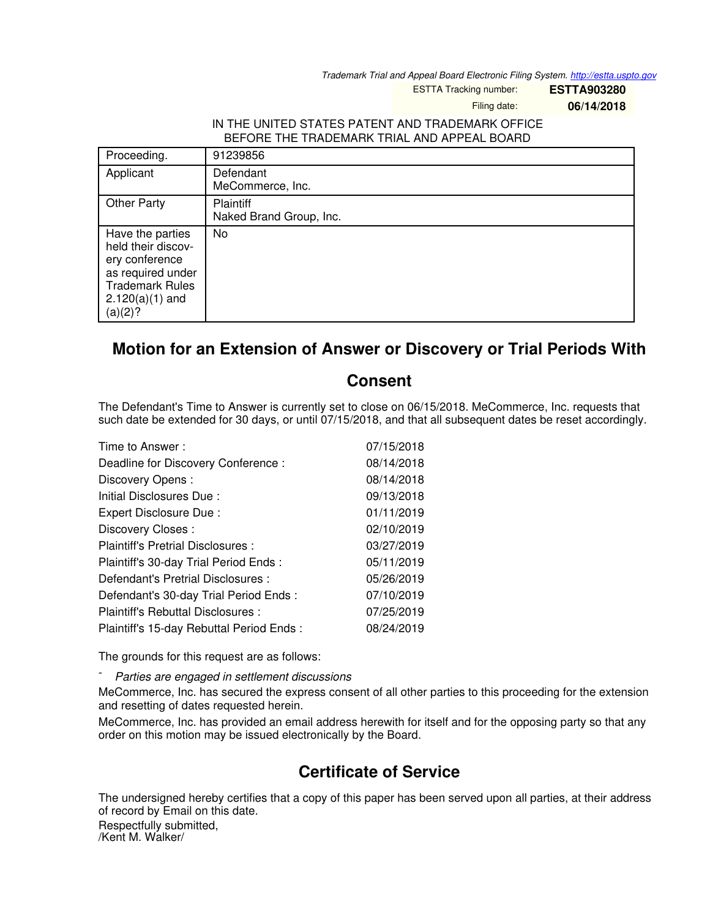*Trademark Trial and Appeal Board Electronic Filing System. <http://estta.uspto.gov>*

ESTTA Tracking number: **ESTTA903280**

Filing date: **06/14/2018**

## IN THE UNITED STATES PATENT AND TRADEMARK OFFICE BEFORE THE TRADEMARK TRIAL AND APPEAL BOARD

| Proceeding.                                                                                                                             | 91239856                                    |
|-----------------------------------------------------------------------------------------------------------------------------------------|---------------------------------------------|
| Applicant                                                                                                                               | Defendant<br>MeCommerce, Inc.               |
| <b>Other Party</b>                                                                                                                      | <b>Plaintiff</b><br>Naked Brand Group, Inc. |
| Have the parties<br>held their discov-<br>ery conference<br>as required under<br><b>Trademark Rules</b><br>$2.120(a)(1)$ and<br>(a)(2)? | No                                          |

## **Motion for an Extension of Answer or Discovery or Trial Periods With**

## **Consent**

The Defendant's Time to Answer is currently set to close on 06/15/2018. MeCommerce, Inc. requests that such date be extended for 30 days, or until 07/15/2018, and that all subsequent dates be reset accordingly.

| Time to Answer:                          | 07/15/2018 |
|------------------------------------------|------------|
| Deadline for Discovery Conference :      | 08/14/2018 |
| Discovery Opens:                         | 08/14/2018 |
| Initial Disclosures Due:                 | 09/13/2018 |
| Expert Disclosure Due:                   | 01/11/2019 |
| Discovery Closes:                        | 02/10/2019 |
| Plaintiff's Pretrial Disclosures :       | 03/27/2019 |
| Plaintiff's 30-day Trial Period Ends:    | 05/11/2019 |
| Defendant's Pretrial Disclosures :       | 05/26/2019 |
| Defendant's 30-day Trial Period Ends:    | 07/10/2019 |
| Plaintiff's Rebuttal Disclosures:        | 07/25/2019 |
| Plaintiff's 15-day Rebuttal Period Ends: | 08/24/2019 |

The grounds for this request are as follows:

- *Parties are engaged in settlement discussions*

MeCommerce, Inc. has secured the express consent of all other parties to this proceeding for the extension and resetting of dates requested herein.

MeCommerce, Inc. has provided an email address herewith for itself and for the opposing party so that any order on this motion may be issued electronically by the Board.

## **Certificate of Service**

The undersigned hereby certifies that a copy of this paper has been served upon all parties, at their address of record by Email on this date.

Respectfully submitted, /Kent M. Walker/